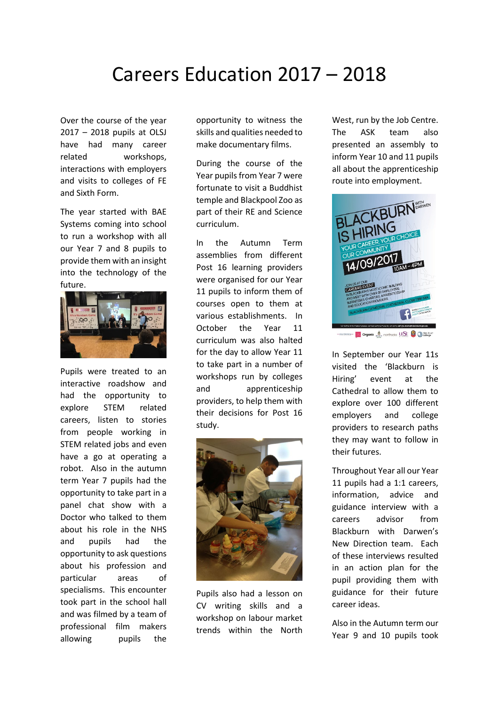## Careers Education 2017 – 2018

Over the course of the year 2017 – 2018 pupils at OLSJ have had many career related workshops, interactions with employers and visits to colleges of FE and Sixth Form.

The year started with BAE Systems coming into school to run a workshop with all our Year 7 and 8 pupils to provide them with an insight into the technology of the future.



Pupils were treated to an interactive roadshow and had the opportunity to explore STEM related careers, listen to stories from people working in STEM related jobs and even have a go at operating a robot. Also in the autumn term Year 7 pupils had the opportunity to take part in a panel chat show with a Doctor who talked to them about his role in the NHS and pupils had the opportunity to ask questions about his profession and particular areas of specialisms. This encounter took part in the school hall and was filmed by a team of professional film makers allowing pupils the

opportunity to witness the skills and qualities needed to make documentary films.

During the course of the Year pupils from Year 7 were fortunate to visit a Buddhist temple and Blackpool Zoo as part of their RE and Science curriculum.

In the Autumn Term assemblies from different Post 16 learning providers were organised for our Year 11 pupils to inform them of courses open to them at various establishments. In October the Year 11 curriculum was also halted for the day to allow Year 11 to take part in a number of workshops run by colleges and apprenticeship providers, to help them with their decisions for Post 16 study.



Pupils also had a lesson on CV writing skills and a workshop on labour market trends within the North

West, run by the Job Centre. The ASK team also presented an assembly to inform Year 10 and 11 pupils all about the apprenticeship route into employment.



**Extra Organic A** northcote LESE **C** Diction

In September our Year 11s visited the 'Blackburn is Hiring' event at the Cathedral to allow them to explore over 100 different employers and college providers to research paths they may want to follow in their futures.

Throughout Year all our Year 11 pupils had a 1:1 careers, information, advice and guidance interview with a careers advisor from Blackburn with Darwen's New Direction team. Each of these interviews resulted in an action plan for the pupil providing them with guidance for their future career ideas.

Also in the Autumn term our Year 9 and 10 pupils took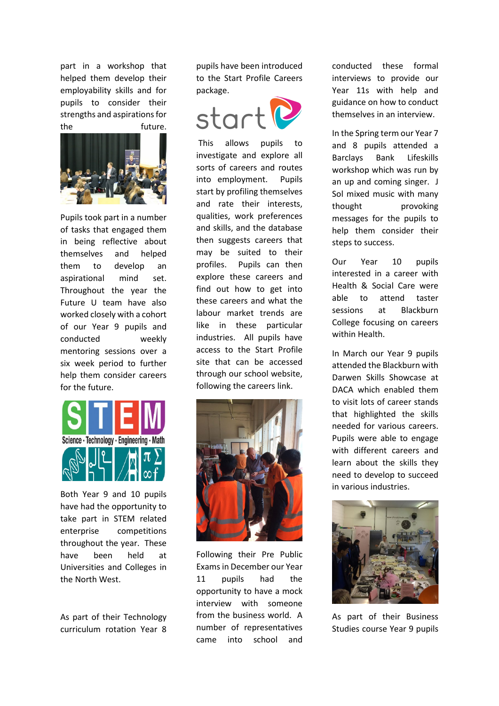part in a workshop that helped them develop their employability skills and for pupils to consider their strengths and aspirations for the future.



Pupils took part in a number of tasks that engaged them in being reflective about themselves and helped them to develop an aspirational mind set. Throughout the year the Future U team have also worked closely with a cohort of our Year 9 pupils and conducted weekly mentoring sessions over a six week period to further help them consider careers for the future.



Both Year 9 and 10 pupils have had the opportunity to take part in STEM related enterprise competitions throughout the year. These have been held at Universities and Colleges in the North West.

As part of their Technology curriculum rotation Year 8 pupils have been introduced to the Start Profile Careers package.



This allows pupils to investigate and explore all sorts of careers and routes into employment. Pupils start by profiling themselves and rate their interests, qualities, work preferences and skills, and the database then suggests careers that may be suited to their profiles. Pupils can then explore these careers and find out how to get into these careers and what the labour market trends are like in these particular industries. All pupils have access to the Start Profile site that can be accessed through our school website, following the careers link.



Following their Pre Public Exams in December our Year 11 pupils had the opportunity to have a mock interview with someone from the business world. A number of representatives came into school and

conducted these formal interviews to provide our Year 11s with help and guidance on how to conduct themselves in an interview.

In the Spring term our Year 7 and 8 pupils attended a Barclays Bank Lifeskills workshop which was run by an up and coming singer. J Sol mixed music with many thought provoking messages for the pupils to help them consider their steps to success.

Our Year 10 pupils interested in a career with Health & Social Care were able to attend taster sessions at Blackburn College focusing on careers within Health.

In March our Year 9 pupils attended the Blackburn with Darwen Skills Showcase at DACA which enabled them to visit lots of career stands that highlighted the skills needed for various careers. Pupils were able to engage with different careers and learn about the skills they need to develop to succeed in various industries.



As part of their Business Studies course Year 9 pupils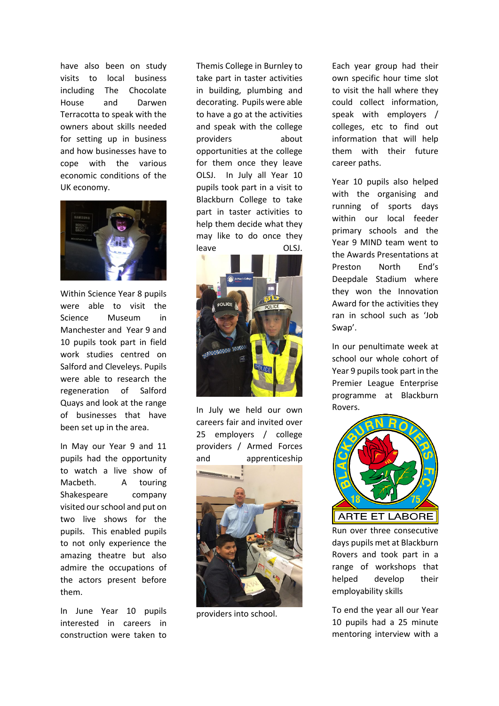have also been on study visits to local business including The Chocolate House and Darwen Terracotta to speak with the owners about skills needed for setting up in business and how businesses have to cope with the various economic conditions of the UK economy.



Within Science Year 8 pupils were able to visit the Science Museum in Manchester and Year 9 and 10 pupils took part in field work studies centred on Salford and Cleveleys. Pupils were able to research the regeneration of Salford Quays and look at the range of businesses that have been set up in the area.

In May our Year 9 and 11 pupils had the opportunity to watch a live show of Macbeth. A touring Shakespeare company visited our school and put on two live shows for the pupils. This enabled pupils to not only experience the amazing theatre but also admire the occupations of the actors present before them.

In June Year 10 pupils interested in careers in construction were taken to

Themis College in Burnley to take part in taster activities in building, plumbing and decorating. Pupils were able to have a go at the activities and speak with the college providers about opportunities at the college for them once they leave OLSJ. In July all Year 10 pupils took part in a visit to Blackburn College to take part in taster activities to help them decide what they may like to do once they leave OLSJ.



In July we held our own careers fair and invited over 25 employers / college providers / Armed Forces and apprenticeship



providers into school.

Each year group had their own specific hour time slot to visit the hall where they could collect information, speak with employers / colleges, etc to find out information that will help them with their future career paths.

Year 10 pupils also helped with the organising and running of sports days within our local feeder primary schools and the Year 9 MIND team went to the Awards Presentations at Preston North End's Deepdale Stadium where they won the Innovation Award for the activities they ran in school such as 'Job Swap'.

In our penultimate week at school our whole cohort of Year 9 pupils took part in the Premier League Enterprise programme at Blackburn Rovers.



Run over three consecutive days pupils met at Blackburn Rovers and took part in a range of workshops that helped develop their employability skills

To end the year all our Year 10 pupils had a 25 minute mentoring interview with a